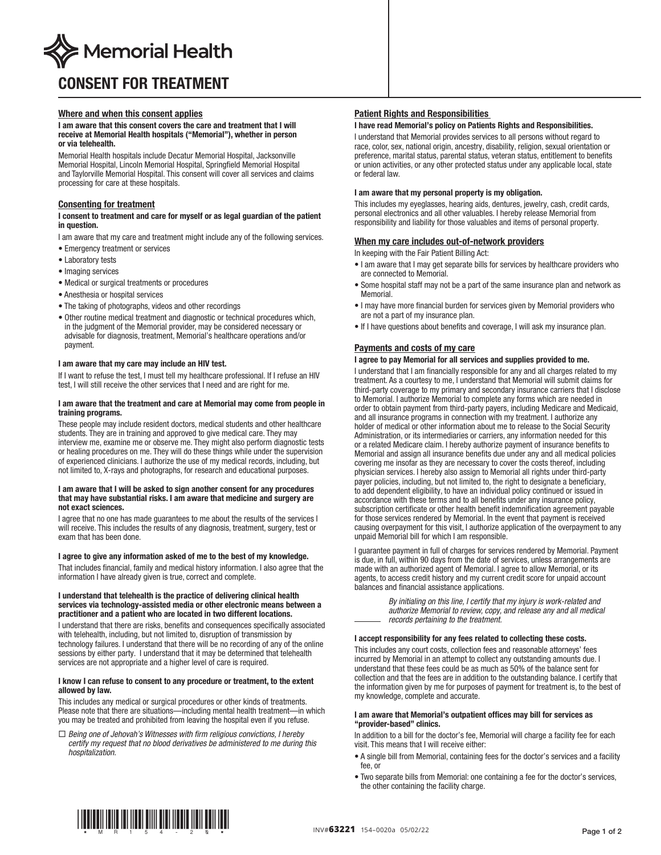

# CONSENT FOR TREATMENT

# Where and when this consent applies

I am aware that this consent covers the care and treatment that I will receive at Memorial Health hospitals ("Memorial"), whether in person or via telehealth.

Memorial Health hospitals include Decatur Memorial Hospital, Jacksonville Memorial Hospital, Lincoln Memorial Hospital, Springfield Memorial Hospital and Taylorville Memorial Hospital. This consent will cover all services and claims processing for care at these hospitals.

# Consenting for treatment

## I consent to treatment and care for myself or as legal guardian of the patient in question.

I am aware that my care and treatment might include any of the following services.

- Emergency treatment or services
- Laboratory tests
- Imaging services
- Medical or surgical treatments or procedures
- Anesthesia or hospital services
- The taking of photographs, videos and other recordings
- Other routine medical treatment and diagnostic or technical procedures which, in the judgment of the Memorial provider, may be considered necessary or advisable for diagnosis, treatment, Memorial's healthcare operations and/or payment.

## I am aware that my care may include an HIV test.

If I want to refuse the test, I must tell my healthcare professional. If I refuse an HIV test, I will still receive the other services that I need and are right for me.

## I am aware that the treatment and care at Memorial may come from people in training programs.

These people may include resident doctors, medical students and other healthcare students. They are in training and approved to give medical care. They may interview me, examine me or observe me. They might also perform diagnostic tests or healing procedures on me. They will do these things while under the supervision of experienced clinicians. I authorize the use of my medical records, including, but not limited to, X-rays and photographs, for research and educational purposes.

#### I am aware that I will be asked to sign another consent for any procedures that may have substantial risks. I am aware that medicine and surgery are not exact sciences.

I agree that no one has made guarantees to me about the results of the services I will receive. This includes the results of any diagnosis, treatment, surgery, test or exam that has been done.

#### I agree to give any information asked of me to the best of my knowledge.

That includes financial, family and medical history information. I also agree that the information I have already given is true, correct and complete.

#### I understand that telehealth is the practice of delivering clinical health services via technology-assisted media or other electronic means between a practitioner and a patient who are located in two different locations.

I understand that there are risks, benefits and consequences specifically associated with telehealth, including, but not limited to, disruption of transmission by technology failures. I understand that there will be no recording of any of the online sessions by either party. I understand that it may be determined that telehealth services are not appropriate and a higher level of care is required.

## I know I can refuse to consent to any procedure or treatment, to the extent allowed by law.

This includes any medical or surgical procedures or other kinds of treatments. Please note that there are situations—including mental health treatment—in which you may be treated and prohibited from leaving the hospital even if you refuse.

 *Being one of Jehovah's Witnesses with firm religious convictions, I hereby certify my request that no blood derivatives be administered to me during this hospitalization.*

# Patient Rights and Responsibilities

# I have read Memorial's policy on Patients Rights and Responsibilities.

I understand that Memorial provides services to all persons without regard to race, color, sex, national origin, ancestry, disability, religion, sexual orientation or preference, marital status, parental status, veteran status, entitlement to benefits or union activities, or any other protected status under any applicable local, state or federal law.

# I am aware that my personal property is my obligation.

This includes my eyeglasses, hearing aids, dentures, jewelry, cash, credit cards, personal electronics and all other valuables. I hereby release Memorial from responsibility and liability for those valuables and items of personal property.

# When my care includes out-of-network providers

In keeping with the Fair Patient Billing Act:

- I am aware that I may get separate bills for services by healthcare providers who are connected to Memorial.
- Some hospital staff may not be a part of the same insurance plan and network as **Memorial**
- I may have more financial burden for services given by Memorial providers who are not a part of my insurance plan.
- If I have questions about benefits and coverage, I will ask my insurance plan.

# Payments and costs of my care

# I agree to pay Memorial for all services and supplies provided to me.

I understand that I am financially responsible for any and all charges related to my treatment. As a courtesy to me, I understand that Memorial will submit claims for third-party coverage to my primary and secondary insurance carriers that I disclose to Memorial. I authorize Memorial to complete any forms which are needed in order to obtain payment from third-party payers, including Medicare and Medicaid, and all insurance programs in connection with my treatment. I authorize any holder of medical or other information about me to release to the Social Security Administration, or its intermediaries or carriers, any information needed for this or a related Medicare claim. I hereby authorize payment of insurance benefits to Memorial and assign all insurance benefits due under any and all medical policies covering me insofar as they are necessary to cover the costs thereof, including physician services. I hereby also assign to Memorial all rights under third-party payer policies, including, but not limited to, the right to designate a beneficiary, to add dependent eligibility, to have an individual policy continued or issued in accordance with these terms and to all benefits under any insurance policy, subscription certificate or other health benefit indemnification agreement payable for those services rendered by Memorial. In the event that payment is received causing overpayment for this visit, I authorize application of the overpayment to any unpaid Memorial bill for which I am responsible.

I guarantee payment in full of charges for services rendered by Memorial. Payment is due, in full, within 90 days from the date of services, unless arrangements are made with an authorized agent of Memorial. I agree to allow Memorial, or its agents, to access credit history and my current credit score for unpaid account balances and financial assistance applications.

| By initialing on this line, I certify that my injury is work-related and |
|--------------------------------------------------------------------------|
| authorize Memorial to review, copy, and release any and all medical      |
| records pertaining to the treatment.                                     |

#### I accept responsibility for any fees related to collecting these costs.

This includes any court costs, collection fees and reasonable attorneys' fees incurred by Memorial in an attempt to collect any outstanding amounts due. I understand that these fees could be as much as 50% of the balance sent for collection and that the fees are in addition to the outstanding balance. I certify that the information given by me for purposes of payment for treatment is, to the best of my knowledge, complete and accurate.

#### I am aware that Memorial's outpatient offices may bill for services as "provider-based" clinics.

In addition to a bill for the doctor's fee, Memorial will charge a facility fee for each visit. This means that I will receive either:

- A single bill from Memorial, containing fees for the doctor's services and a facility fee, or
- Two separate bills from Memorial: one containing a fee for the doctor's services, the other containing the facility charge.